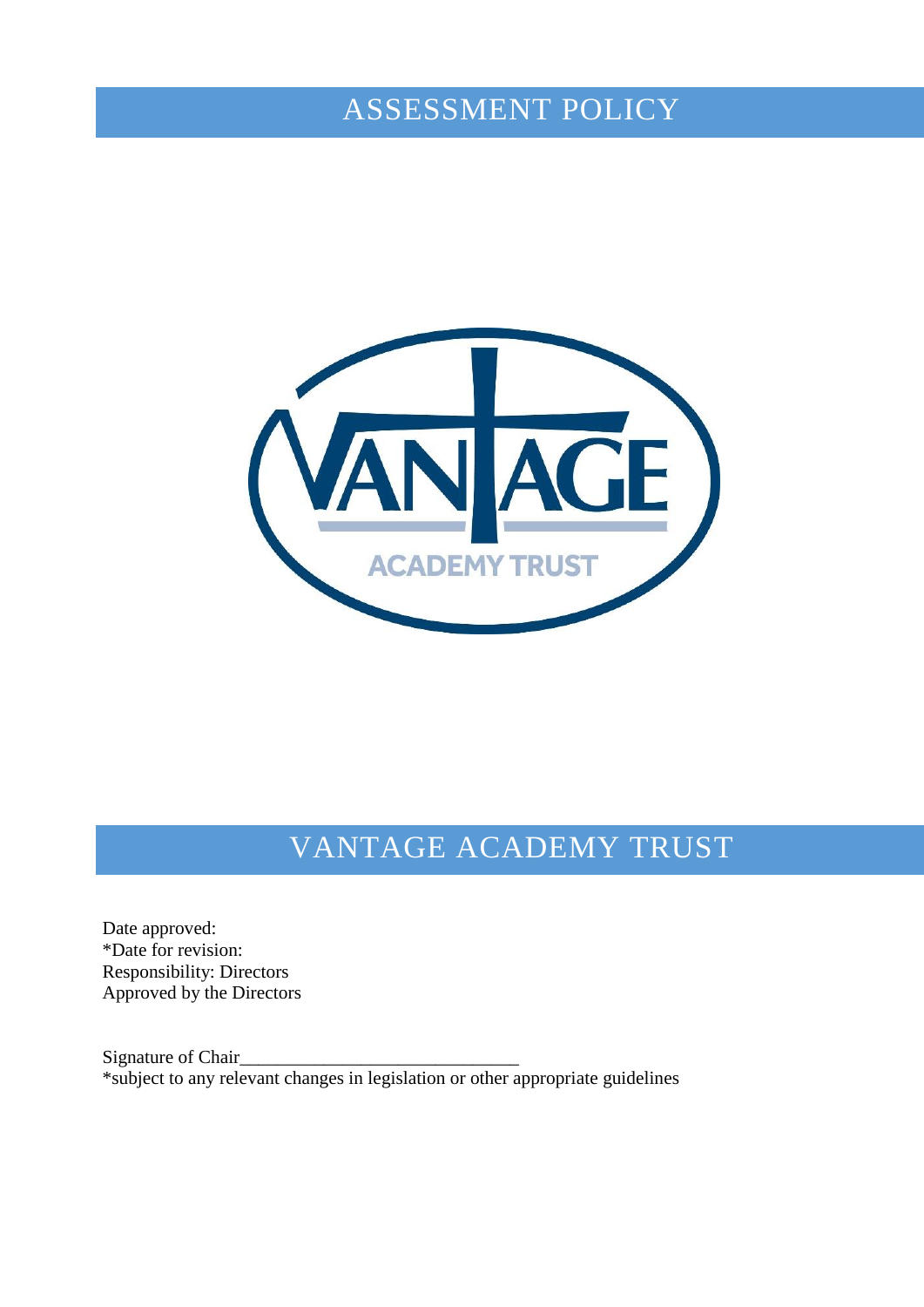# ASSESSMENT POLICY



# VANTAGE ACADEMY TRUST

Date approved: \*Date for revision: Responsibility: Directors Approved by the Directors

Signature of Chair\_ \*subject to any relevant changes in legislation or other appropriate guidelines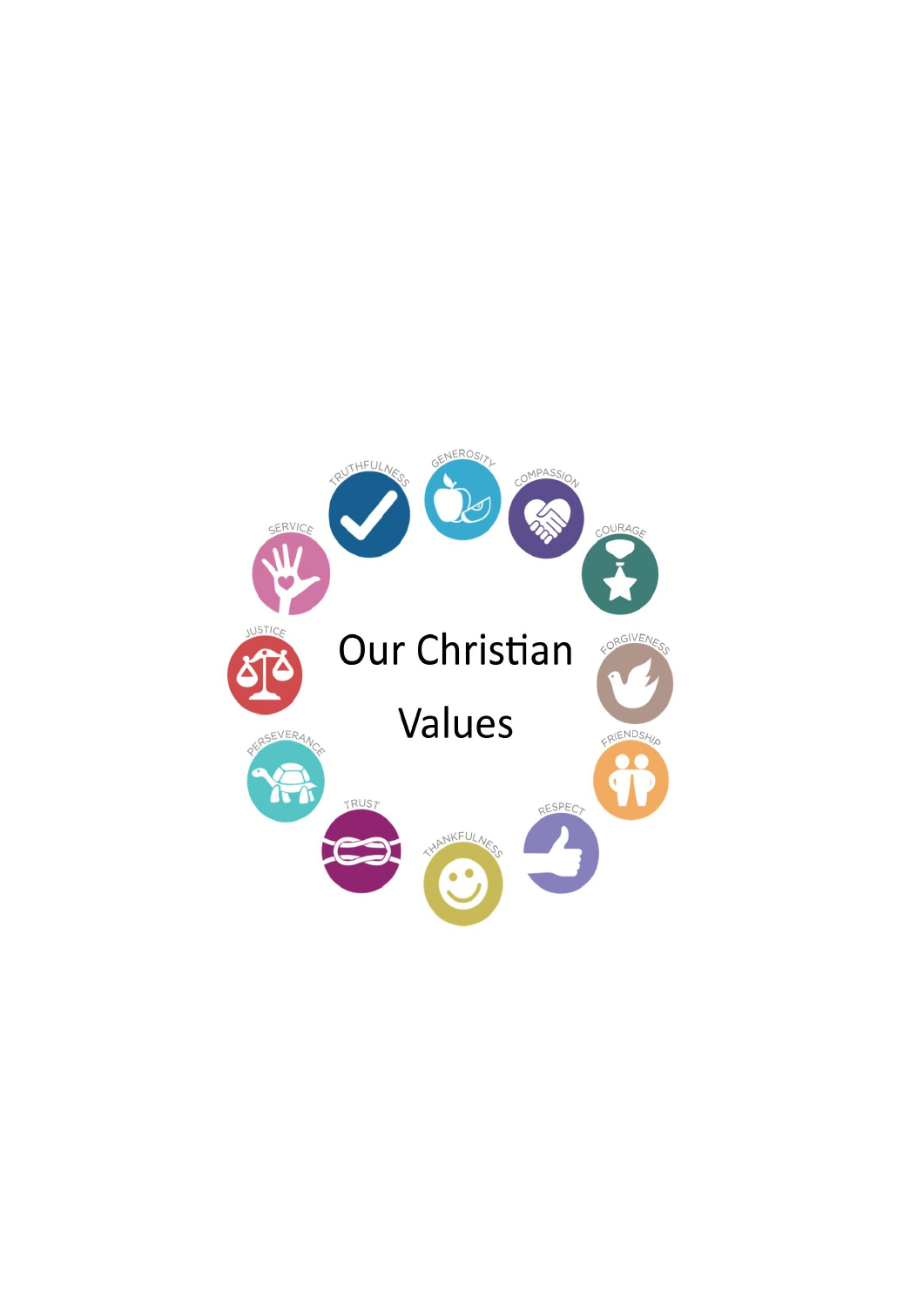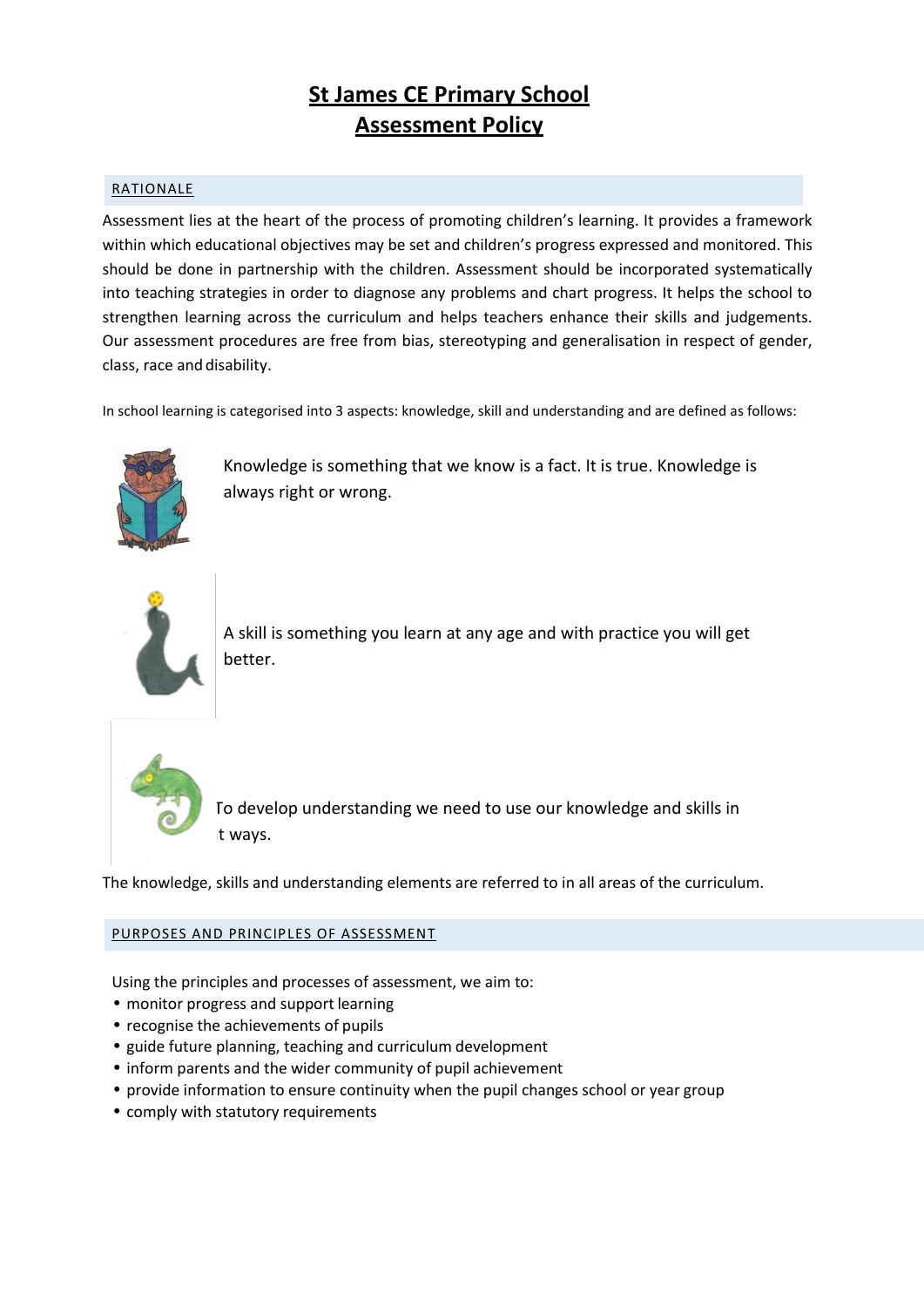# **St James CE Primary School Assessment Policy**

# **RATIONALE**

Assessment lies at the heart of the process of promoting children's learning. It provides a framework within which educational objectives may be set and children's progress expressed and monitored. This should be done in partnership with the children. Assessment should be incorporated systematically into teaching strategies in order to diagnose any problems and chart progress. It helps the school to strengthen learning across the curriculum and helps teachers enhance their skills and judgements. Our assessment procedures are free from bias, stereotyping and generalisation in respect of gender, class, race and disability.

In school learning is categorised into 3 aspects: knowledge, skill and understanding and are defined as follows:



Knowledge is something that we know is a fact. It is true. Knowledge is always right or wrong.



A skill is something you learn at any age and with practice you will get better.



To develop understanding we need to use our knowledge and skills in t ways.

The knowledge, skills and understanding elements are referred to in all areas of the curriculum.

# PURPOSES AND PRINCIPLES OF ASSESSMENT

Using the principles and processes of assessment, we aim to:

- monitor progress and support learning
- recognise the achievements of pupils
- guide future planning, teaching and curriculum development
- inform parents and the wider community of pupil achievement
- provide information to ensure continuity when the pupil changes school or year group
- comply with statutory requirements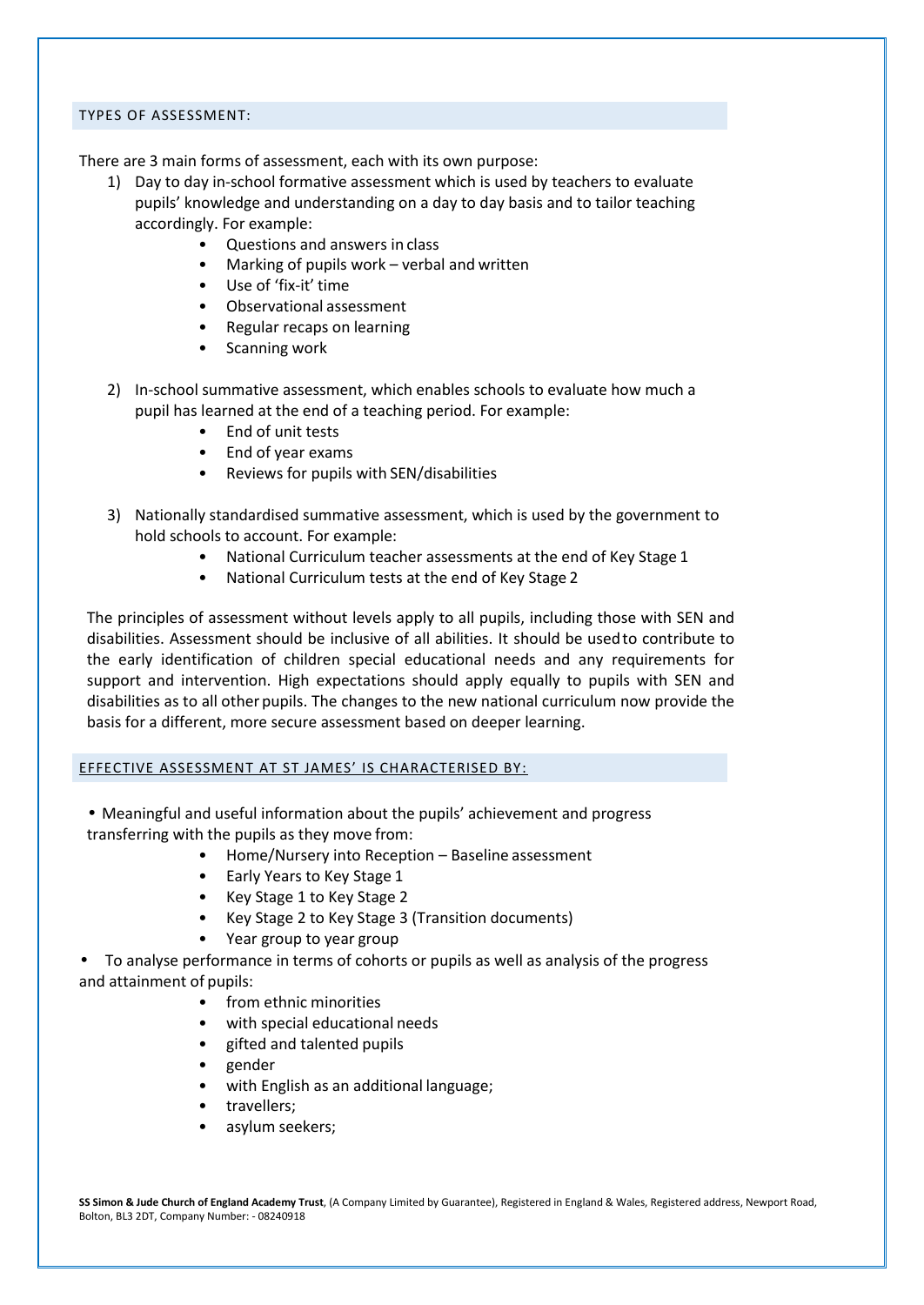#### TYPES OF ASSESSMENT:

There are 3 main forms of assessment, each with its own purpose:

- 1) Day to day in-school formative assessment which is used by teachers to evaluate pupils' knowledge and understanding on a day to day basis and to tailor teaching accordingly. For example:
	- Questions and answers in class
	- Marking of pupils work verbal and written
	- Use of 'fix-it' time
	- Observational assessment
	- Regular recaps on learning
	- Scanning work
- 2) In-school summative assessment, which enables schools to evaluate how much a pupil has learned at the end of a teaching period. For example:
	- End of unit tests
	- End of year exams
	- Reviews for pupils with SEN/disabilities
- 3) Nationally standardised summative assessment, which is used by the government to hold schools to account. For example:
	- National Curriculum teacher assessments at the end of Key Stage 1
	- National Curriculum tests at the end of Key Stage 2

The principles of assessment without levels apply to all pupils, including those with SEN and disabilities. Assessment should be inclusive of all abilities. It should be usedto contribute to the early identification of children special educational needs and any requirements for support and intervention. High expectations should apply equally to pupils with SEN and disabilities as to all other pupils. The changes to the new national curriculum now provide the basis for a different, more secure assessment based on deeper learning.

# EFFECTIVE ASSESSMENT AT ST JAMES' IS CHARACTERISED BY:

- Meaningful and useful information about the pupils' achievement and progress transferring with the pupils as they move from:
	- Home/Nursery into Reception Baseline assessment
	- Early Years to Key Stage 1
	- Key Stage 1 to Key Stage 2
	- Key Stage 2 to Key Stage 3 (Transition documents)
	- Year group to year group
- To analyse performance in terms of cohorts or pupils as well as analysis of the progress and attainment of pupils:
	- from ethnic minorities
	- with special educational needs
	- gifted and talented pupils
	- gender
	- with English as an additional language;
	- travellers;
	- asylum seekers;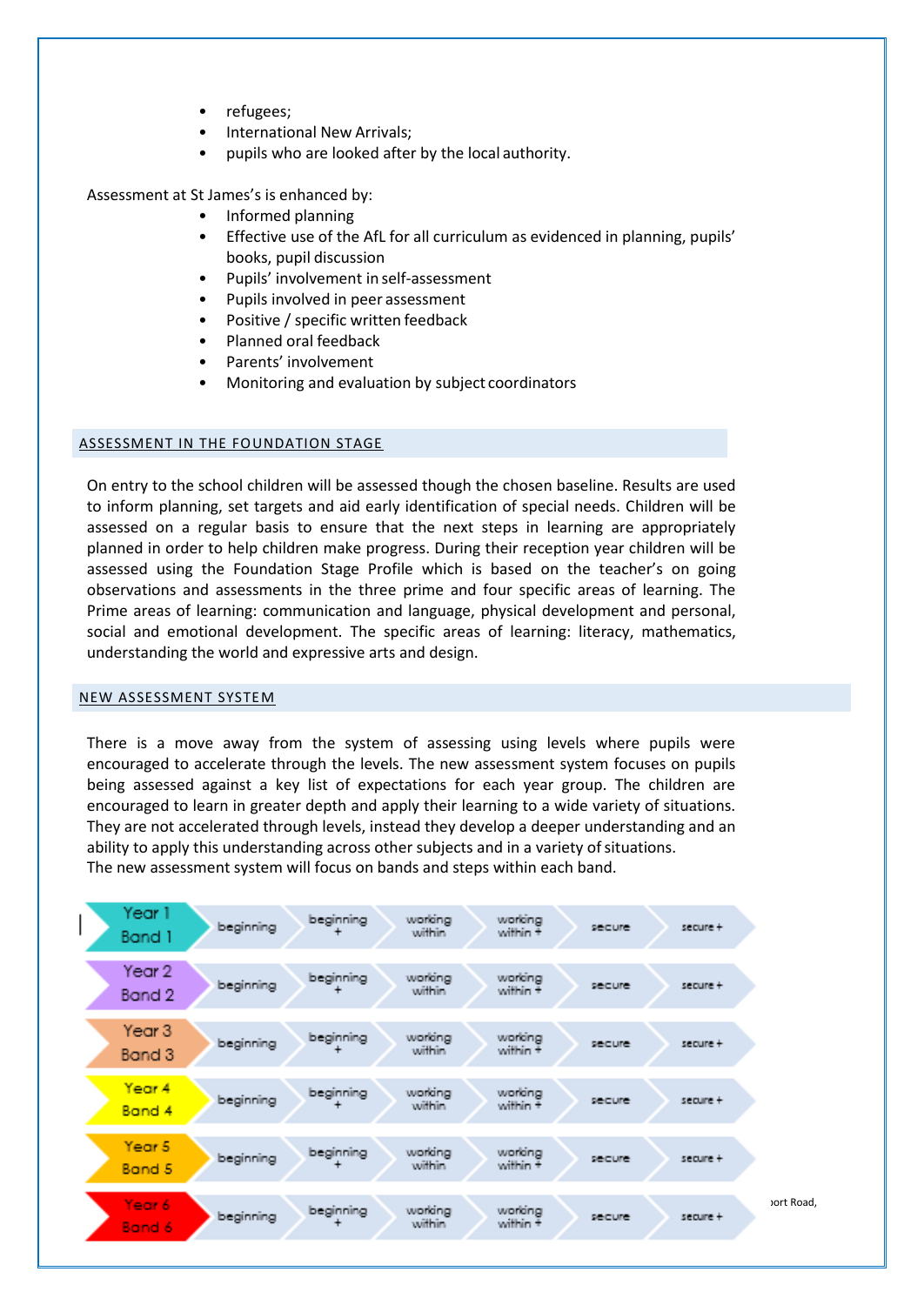- refugees;
- International New Arrivals;
- pupils who are looked after by the local authority.

Assessment at St James's is enhanced by:

- Informed planning
- Effective use of the AfL for all curriculum as evidenced in planning, pupils' books, pupil discussion
- Pupils' involvement in self-assessment
- Pupils involved in peer assessment
- Positive / specific written feedback
- Planned oral feedback
- Parents' involvement
- Monitoring and evaluation by subject coordinators

#### ASSESSMENT IN THE FOUNDATION STAGE

On entry to the school children will be assessed though the chosen baseline. Results are used to inform planning, set targets and aid early identification of special needs. Children will be assessed on a regular basis to ensure that the next steps in learning are appropriately planned in order to help children make progress. During their reception year children will be assessed using the Foundation Stage Profile which is based on the teacher's on going observations and assessments in the three prime and four specific areas of learning. The Prime areas of learning: communication and language, physical development and personal, social and emotional development. The specific areas of learning: literacy, mathematics, understanding the world and expressive arts and design.

#### NEW ASSESSMENT SYSTEM

There is a move away from the system of assessing using levels where pupils were encouraged to accelerate through the levels. The new assessment system focuses on pupils being assessed against a key list of expectations for each year group. The children are encouraged to learn in greater depth and apply their learning to a wide variety of situations. They are not accelerated through levels, instead they develop a deeper understanding and an ability to apply this understanding across other subjects and in a variety of situations. The new assessment system will focus on bands and steps within each band.

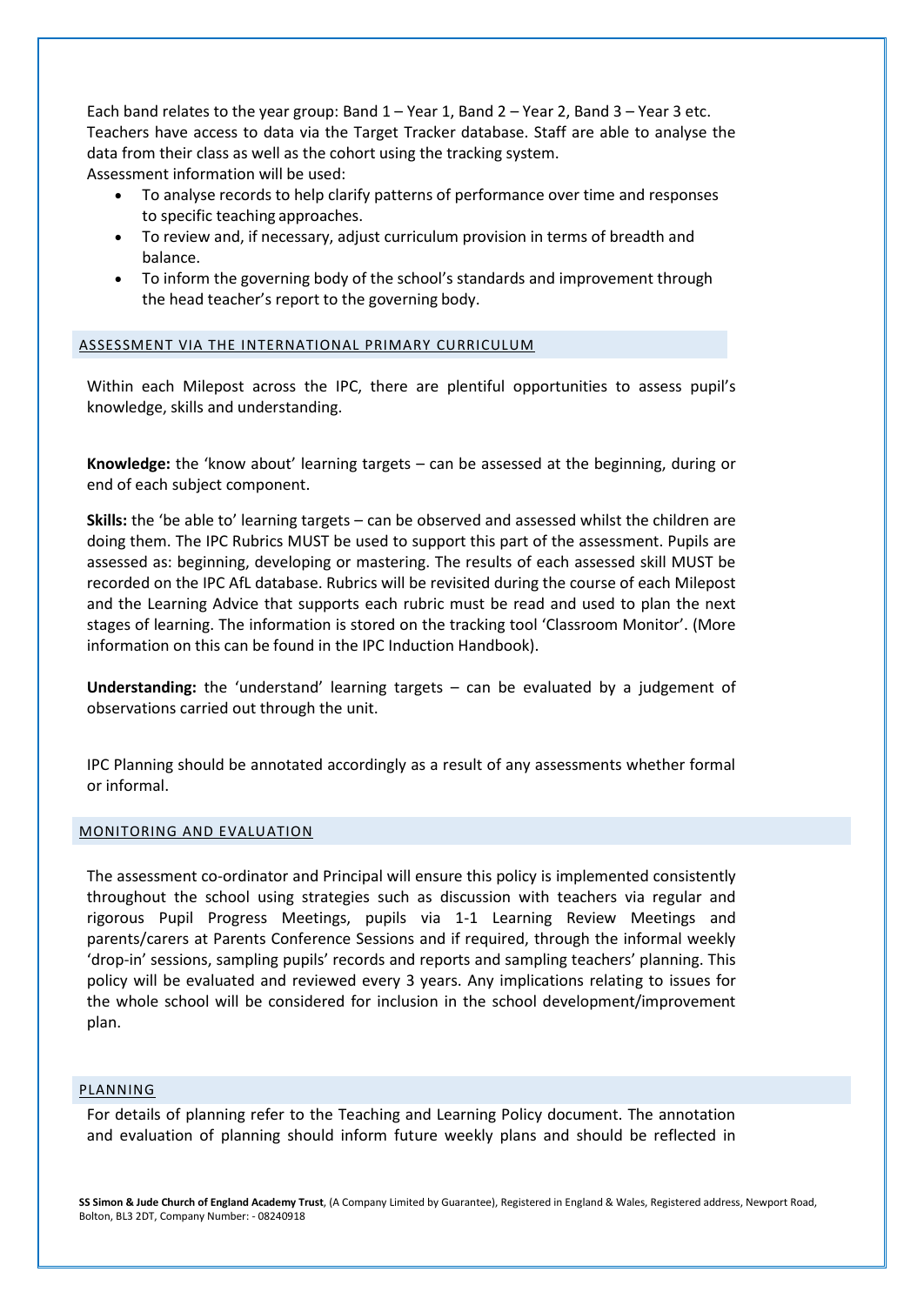Each band relates to the year group: Band  $1 -$  Year 1, Band  $2 -$  Year 2, Band  $3 -$  Year 3 etc. Teachers have access to data via the Target Tracker database. Staff are able to analyse the data from their class as well as the cohort using the tracking system. Assessment information will be used:

- To analyse records to help clarify patterns of performance over time and responses to specific teaching approaches.
- To review and, if necessary, adjust curriculum provision in terms of breadth and balance.
- To inform the governing body of the school's standards and improvement through the head teacher's report to the governing body.

#### ASSESSMENT VIA THE INTERNATIONAL PRIMARY CURRICULUM

Within each Milepost across the IPC, there are plentiful opportunities to assess pupil's knowledge, skills and understanding.

**Knowledge:** the 'know about' learning targets – can be assessed at the beginning, during or end of each subject component.

**Skills:** the 'be able to' learning targets – can be observed and assessed whilst the children are doing them. The IPC Rubrics MUST be used to support this part of the assessment. Pupils are assessed as: beginning, developing or mastering. The results of each assessed skill MUST be recorded on the IPC AfL database. Rubrics will be revisited during the course of each Milepost and the Learning Advice that supports each rubric must be read and used to plan the next stages of learning. The information is stored on the tracking tool 'Classroom Monitor'. (More information on this can be found in the IPC Induction Handbook).

**Understanding:** the 'understand' learning targets – can be evaluated by a judgement of observations carried out through the unit.

IPC Planning should be annotated accordingly as a result of any assessments whether formal or informal.

#### MONITORING AND EVALUATION

The assessment co-ordinator and Principal will ensure this policy is implemented consistently throughout the school using strategies such as discussion with teachers via regular and rigorous Pupil Progress Meetings, pupils via 1-1 Learning Review Meetings and parents/carers at Parents Conference Sessions and if required, through the informal weekly 'drop-in' sessions, sampling pupils' records and reports and sampling teachers' planning. This policy will be evaluated and reviewed every 3 years. Any implications relating to issues for the whole school will be considered for inclusion in the school development/improvement plan.

#### **PLANNING**

For details of planning refer to the Teaching and Learning Policy document. The annotation and evaluation of planning should inform future weekly plans and should be reflected in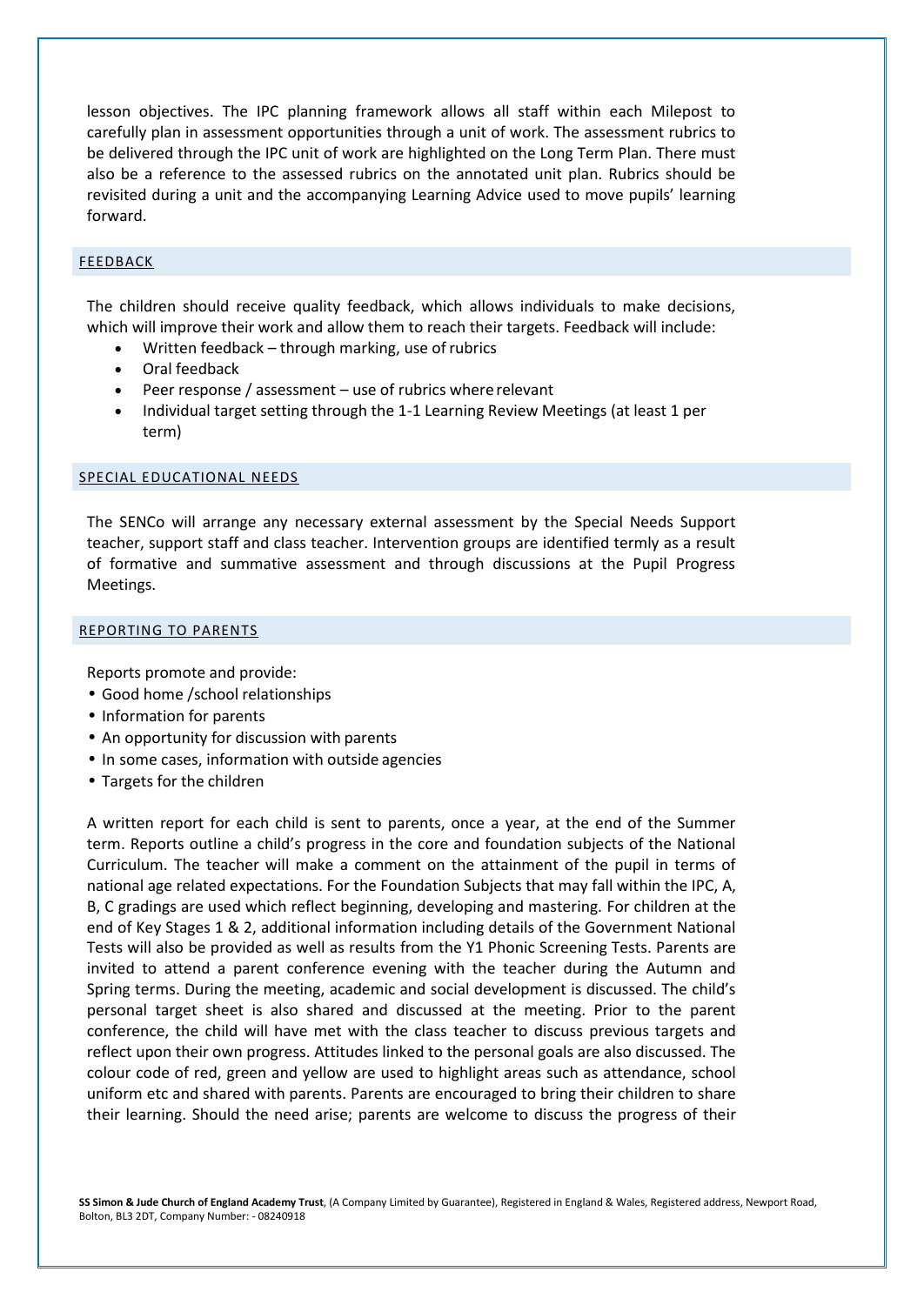lesson objectives. The IPC planning framework allows all staff within each Milepost to carefully plan in assessment opportunities through a unit of work. The assessment rubrics to be delivered through the IPC unit of work are highlighted on the Long Term Plan. There must also be a reference to the assessed rubrics on the annotated unit plan. Rubrics should be revisited during a unit and the accompanying Learning Advice used to move pupils' learning forward.

### FEEDBACK

The children should receive quality feedback, which allows individuals to make decisions, which will improve their work and allow them to reach their targets. Feedback will include:

- Written feedback through marking, use of rubrics
- Oral feedback
- Peer response / assessment use of rubrics where relevant
- Individual target setting through the 1-1 Learning Review Meetings (at least 1 per term)

#### SPECIAL EDUCATIONAL NEEDS

The SENCo will arrange any necessary external assessment by the Special Needs Support teacher, support staff and class teacher. Intervention groups are identified termly as a result of formative and summative assessment and through discussions at the Pupil Progress Meetings.

#### REPORTING TO PARENTS

Reports promote and provide:

- Good home /school relationships
- Information for parents
- An opportunity for discussion with parents
- In some cases, information with outside agencies
- Targets for the children

A written report for each child is sent to parents, once a year, at the end of the Summer term. Reports outline a child's progress in the core and foundation subjects of the National Curriculum. The teacher will make a comment on the attainment of the pupil in terms of national age related expectations. For the Foundation Subjects that may fall within the IPC, A, B, C gradings are used which reflect beginning, developing and mastering. For children at the end of Key Stages 1 & 2, additional information including details of the Government National Tests will also be provided as well as results from the Y1 Phonic Screening Tests. Parents are invited to attend a parent conference evening with the teacher during the Autumn and Spring terms. During the meeting, academic and social development is discussed. The child's personal target sheet is also shared and discussed at the meeting. Prior to the parent conference, the child will have met with the class teacher to discuss previous targets and reflect upon their own progress. Attitudes linked to the personal goals are also discussed. The colour code of red, green and yellow are used to highlight areas such as attendance, school uniform etc and shared with parents. Parents are encouraged to bring their children to share their learning. Should the need arise; parents are welcome to discuss the progress of their